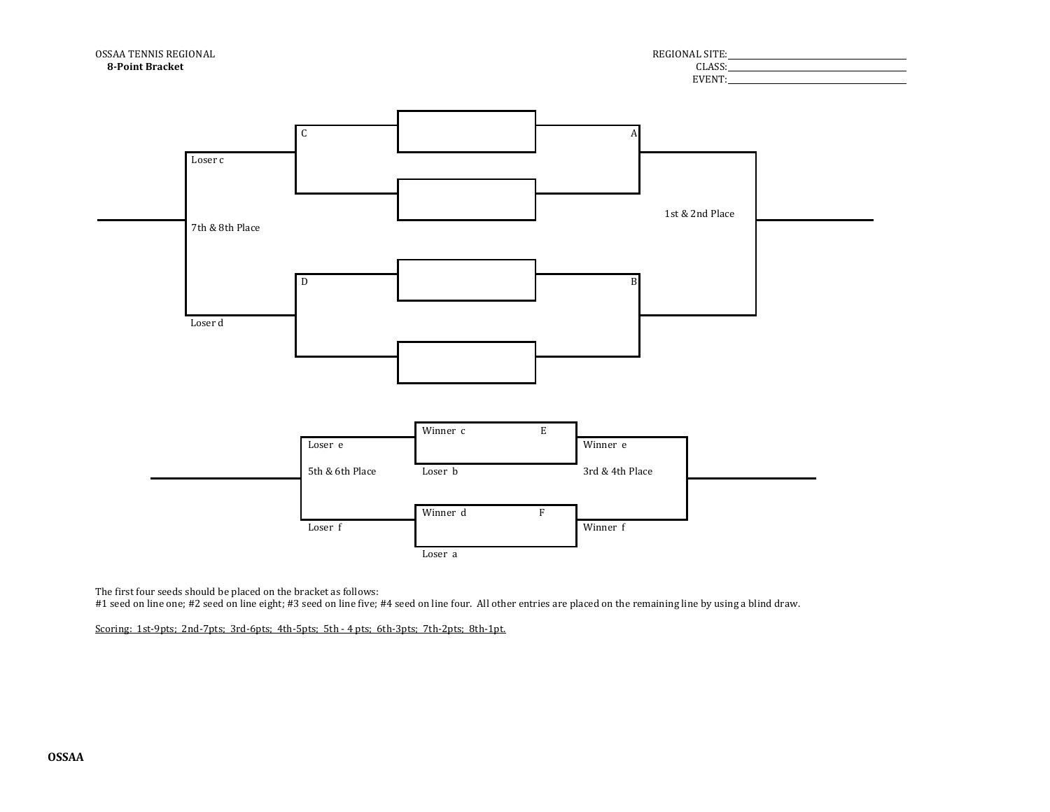

The first four seeds should be placed on the bracket as follows:

#1 seed on line one; #2 seed on line eight; #3 seed on line five; #4 seed on line four. All other entries are placed on the remaining line by using a blind draw.

Scoring: 1st-9pts; 2nd-7pts; 3rd-6pts; 4th-5pts; 5th - 4 pts; 6th-3pts; 7th-2pts; 8th-1pt.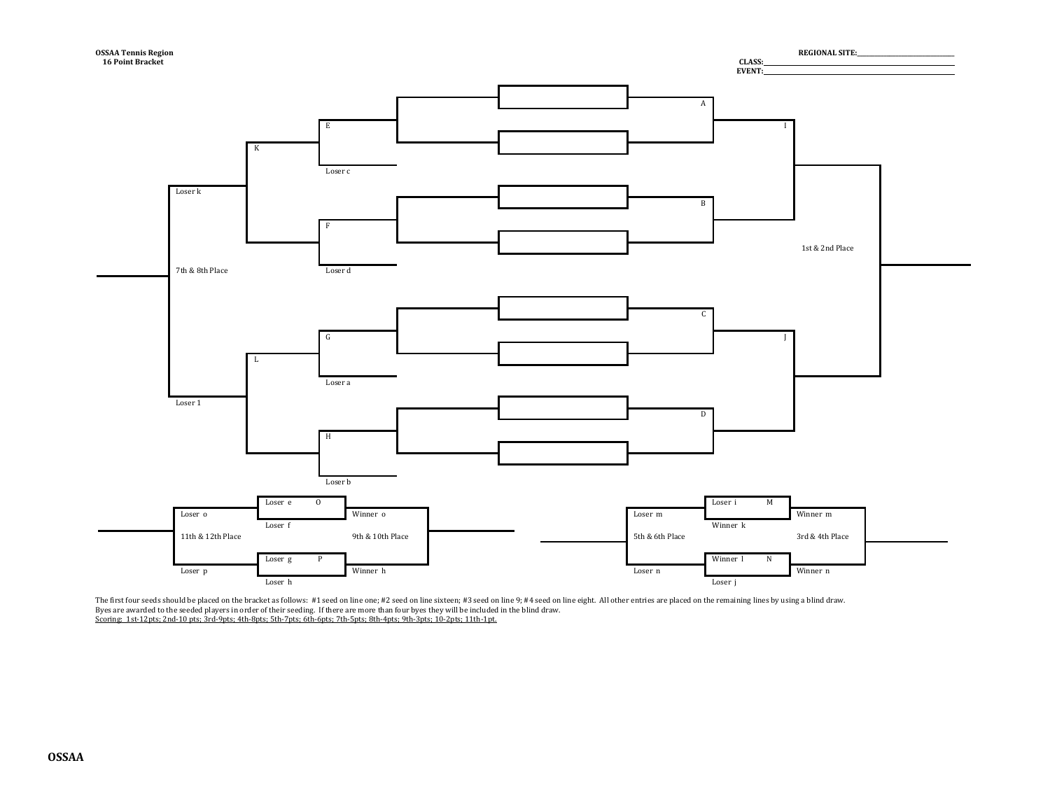

The first four seeds should be placed on the bracket as follows: #1 seed on line one; #2 seed on line sixteen; #3 seed on line 9; #4 seed on line eight. All other entries are placed on the remaining lines by using a blind